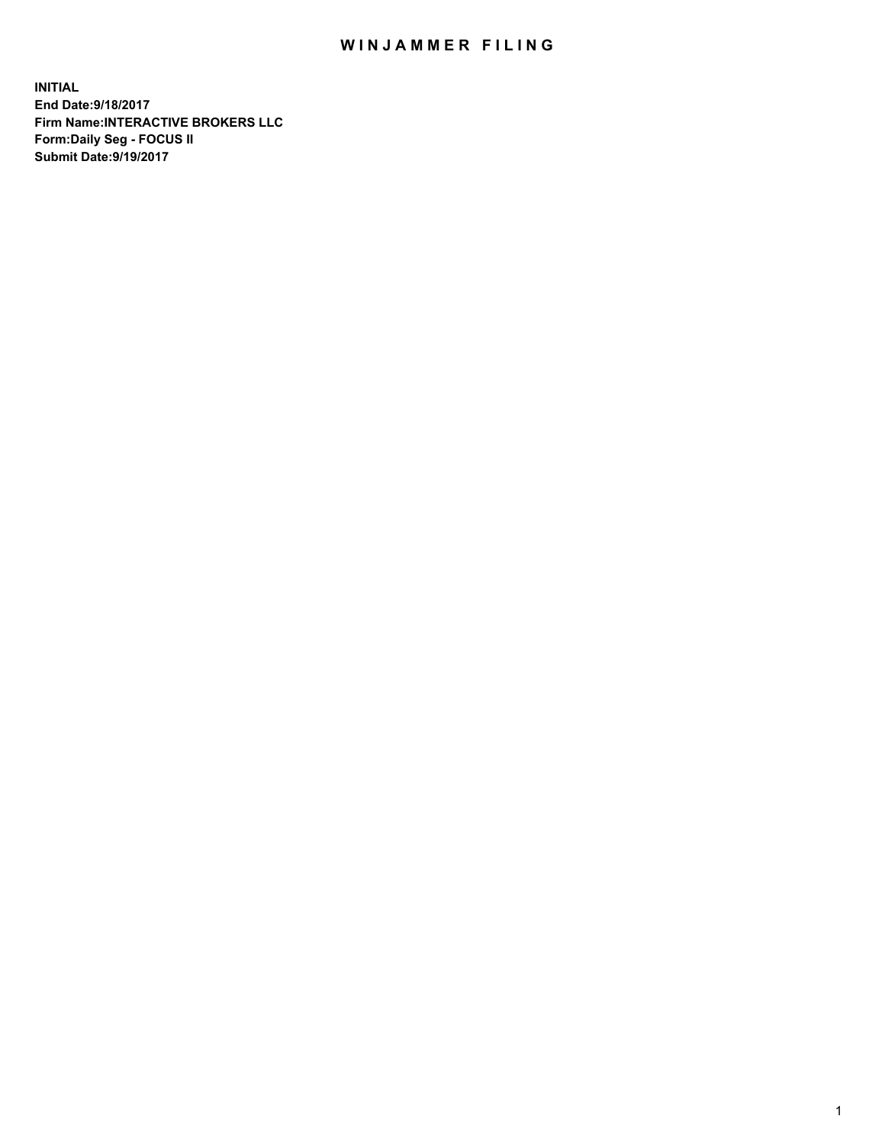## WIN JAMMER FILING

**INITIAL End Date:9/18/2017 Firm Name:INTERACTIVE BROKERS LLC Form:Daily Seg - FOCUS II Submit Date:9/19/2017**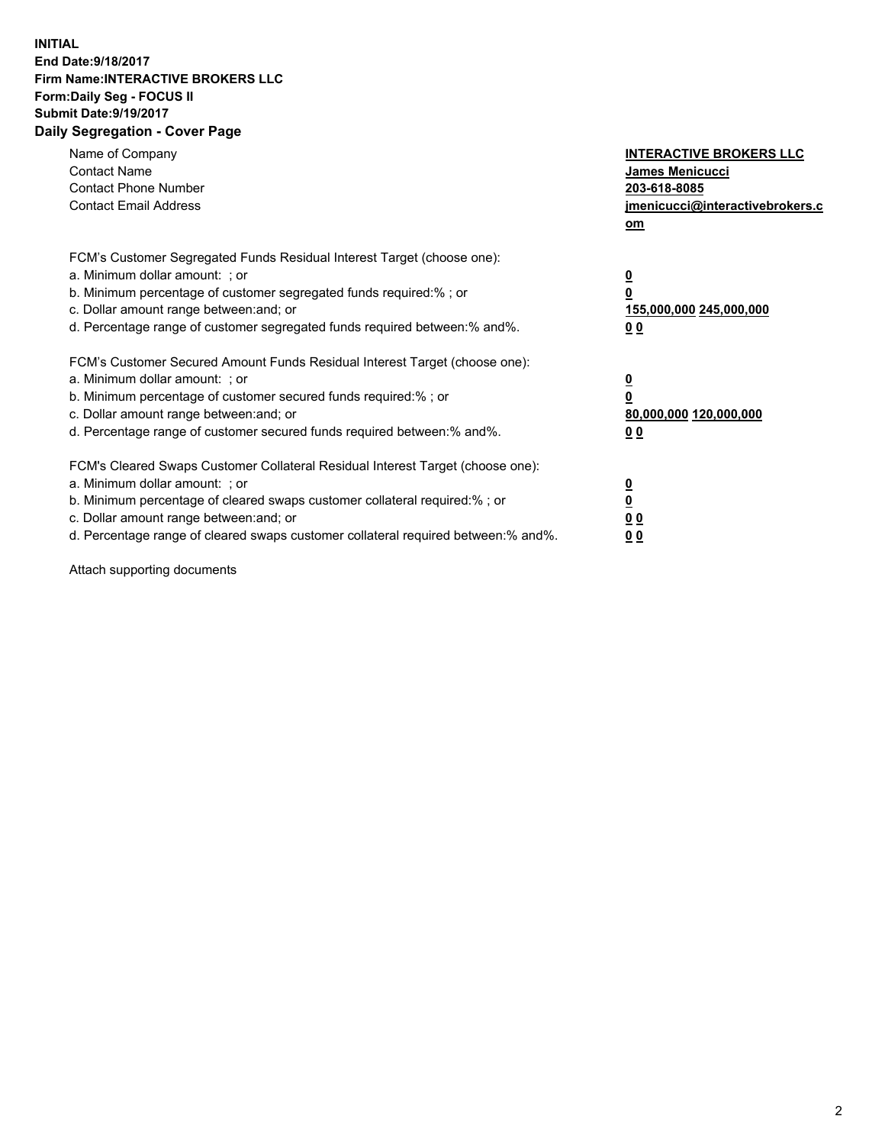## **INITIAL End Date:9/18/2017 Firm Name:INTERACTIVE BROKERS LLC Form:Daily Seg - FOCUS II Submit Date:9/19/2017 Daily Segregation - Cover Page**

| Name of Company<br><b>Contact Name</b><br><b>Contact Phone Number</b><br><b>Contact Email Address</b>                                                                                                                                                                                                                          | <b>INTERACTIVE BROKERS LLC</b><br>James Menicucci<br>203-618-8085<br>jmenicucci@interactivebrokers.c<br>om |
|--------------------------------------------------------------------------------------------------------------------------------------------------------------------------------------------------------------------------------------------------------------------------------------------------------------------------------|------------------------------------------------------------------------------------------------------------|
| FCM's Customer Segregated Funds Residual Interest Target (choose one):<br>a. Minimum dollar amount: ; or<br>b. Minimum percentage of customer segregated funds required:%; or<br>c. Dollar amount range between: and; or<br>d. Percentage range of customer segregated funds required between:% and%.                          | $\overline{\mathbf{0}}$<br>0<br>155,000,000 245,000,000<br>0 <sub>0</sub>                                  |
| FCM's Customer Secured Amount Funds Residual Interest Target (choose one):<br>a. Minimum dollar amount: ; or<br>b. Minimum percentage of customer secured funds required:%; or<br>c. Dollar amount range between: and; or<br>d. Percentage range of customer secured funds required between:% and%.                            | $\overline{\mathbf{0}}$<br>$\overline{\mathbf{0}}$<br>80,000,000 120,000,000<br>00                         |
| FCM's Cleared Swaps Customer Collateral Residual Interest Target (choose one):<br>a. Minimum dollar amount: ; or<br>b. Minimum percentage of cleared swaps customer collateral required:% ; or<br>c. Dollar amount range between: and; or<br>d. Percentage range of cleared swaps customer collateral required between:% and%. | $\overline{\mathbf{0}}$<br>$\overline{\mathbf{0}}$<br>0 <sub>0</sub><br><u>00</u>                          |

Attach supporting documents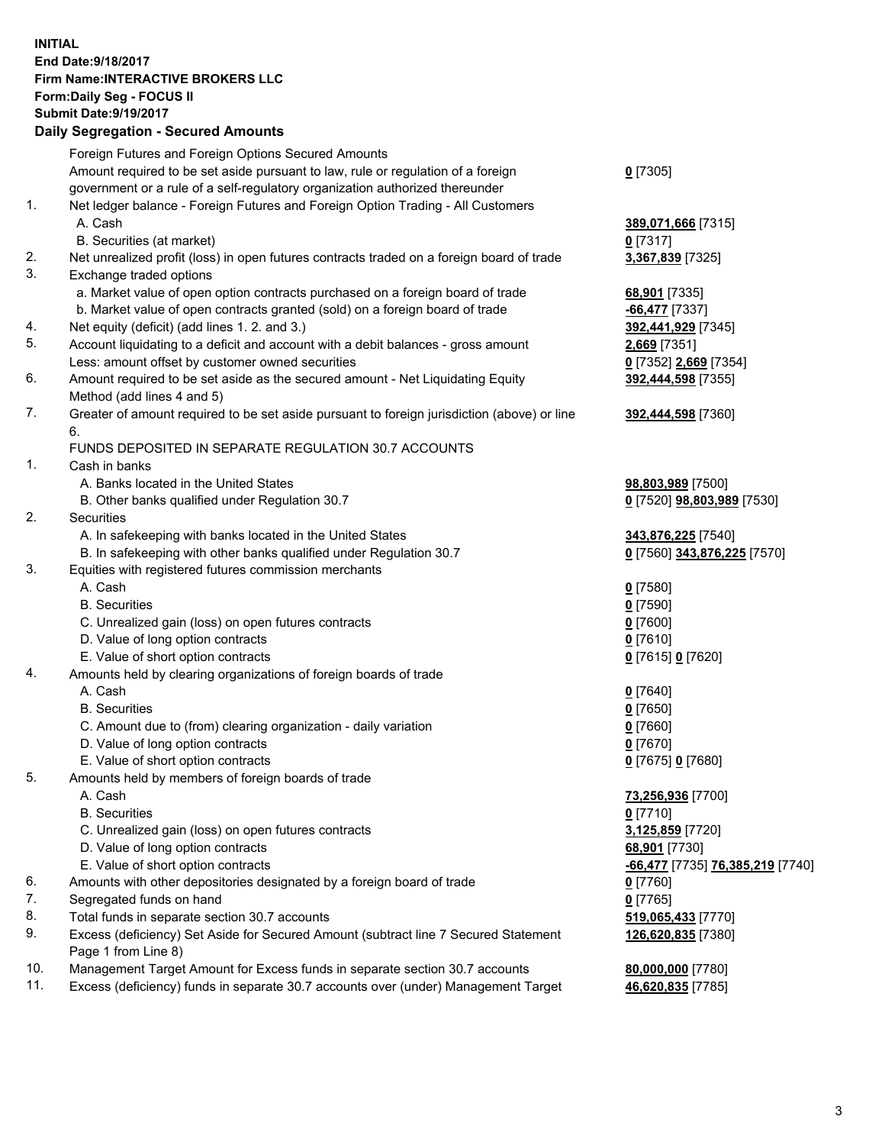## **INITIAL End Date:9/18/2017 Firm Name:INTERACTIVE BROKERS LLC Form:Daily Seg - FOCUS II Submit Date:9/19/2017 Daily Segregation - Secured Amounts**

|     | Foreign Futures and Foreign Options Secured Amounts                                                        |                                  |
|-----|------------------------------------------------------------------------------------------------------------|----------------------------------|
|     | Amount required to be set aside pursuant to law, rule or regulation of a foreign                           | $0$ [7305]                       |
|     | government or a rule of a self-regulatory organization authorized thereunder                               |                                  |
| 1.  | Net ledger balance - Foreign Futures and Foreign Option Trading - All Customers                            |                                  |
|     | A. Cash                                                                                                    | 389,071,666 [7315]               |
|     | B. Securities (at market)                                                                                  | 0 [7317]                         |
| 2.  | Net unrealized profit (loss) in open futures contracts traded on a foreign board of trade                  | 3,367,839 [7325]                 |
| 3.  | Exchange traded options                                                                                    |                                  |
|     | a. Market value of open option contracts purchased on a foreign board of trade                             | 68,901 [7335]                    |
|     | b. Market value of open contracts granted (sold) on a foreign board of trade                               | -66,477 [7337]                   |
| 4.  | Net equity (deficit) (add lines 1.2. and 3.)                                                               | 392,441,929 [7345]               |
| 5.  | Account liquidating to a deficit and account with a debit balances - gross amount                          | 2,669 [7351]                     |
|     | Less: amount offset by customer owned securities                                                           | 0 [7352] 2,669 [7354]            |
| 6.  | Amount required to be set aside as the secured amount - Net Liquidating Equity                             | 392,444,598 [7355]               |
|     | Method (add lines 4 and 5)                                                                                 |                                  |
| 7.  | Greater of amount required to be set aside pursuant to foreign jurisdiction (above) or line                | 392,444,598 [7360]               |
|     | 6.                                                                                                         |                                  |
|     | FUNDS DEPOSITED IN SEPARATE REGULATION 30.7 ACCOUNTS                                                       |                                  |
| 1.  | Cash in banks                                                                                              |                                  |
|     | A. Banks located in the United States                                                                      | 98,803,989 [7500]                |
|     | B. Other banks qualified under Regulation 30.7                                                             | 0 [7520] 98,803,989 [7530]       |
| 2.  | Securities                                                                                                 |                                  |
|     | A. In safekeeping with banks located in the United States                                                  | 343,876,225 [7540]               |
|     | B. In safekeeping with other banks qualified under Regulation 30.7                                         | 0 [7560] 343,876,225 [7570]      |
| 3.  | Equities with registered futures commission merchants                                                      |                                  |
|     | A. Cash                                                                                                    | $0$ [7580]                       |
|     | <b>B.</b> Securities                                                                                       | $0$ [7590]                       |
|     | C. Unrealized gain (loss) on open futures contracts                                                        | $0$ [7600]                       |
|     | D. Value of long option contracts                                                                          | $0$ [7610]                       |
|     | E. Value of short option contracts                                                                         | 0 [7615] 0 [7620]                |
| 4.  | Amounts held by clearing organizations of foreign boards of trade                                          |                                  |
|     | A. Cash                                                                                                    | $0$ [7640]                       |
|     | <b>B.</b> Securities                                                                                       | $0$ [7650]                       |
|     | C. Amount due to (from) clearing organization - daily variation                                            | $0$ [7660]                       |
|     | D. Value of long option contracts                                                                          | $0$ [7670]                       |
|     | E. Value of short option contracts                                                                         | 0 [7675] 0 [7680]                |
| 5.  | Amounts held by members of foreign boards of trade                                                         |                                  |
|     | A. Cash                                                                                                    | 73,256,936 [7700]                |
|     | <b>B.</b> Securities                                                                                       | $0$ [7710]                       |
|     | C. Unrealized gain (loss) on open futures contracts                                                        | 3,125,859 [7720]                 |
|     | D. Value of long option contracts                                                                          | 68,901 [7730]                    |
|     | E. Value of short option contracts                                                                         | -66,477 [7735] 76,385,219 [7740] |
| 6.  | Amounts with other depositories designated by a foreign board of trade                                     | $0$ [7760]                       |
| 7.  | Segregated funds on hand                                                                                   | $0$ [7765]                       |
| 8.  | Total funds in separate section 30.7 accounts                                                              | 519,065,433 [7770]               |
| 9.  | Excess (deficiency) Set Aside for Secured Amount (subtract line 7 Secured Statement<br>Page 1 from Line 8) | 126,620,835 [7380]               |
| 10. | Management Target Amount for Excess funds in separate section 30.7 accounts                                | 80,000,000 [7780]                |
| 11. | Excess (deficiency) funds in separate 30.7 accounts over (under) Management Target                         | 46,620,835 [7785]                |
|     |                                                                                                            |                                  |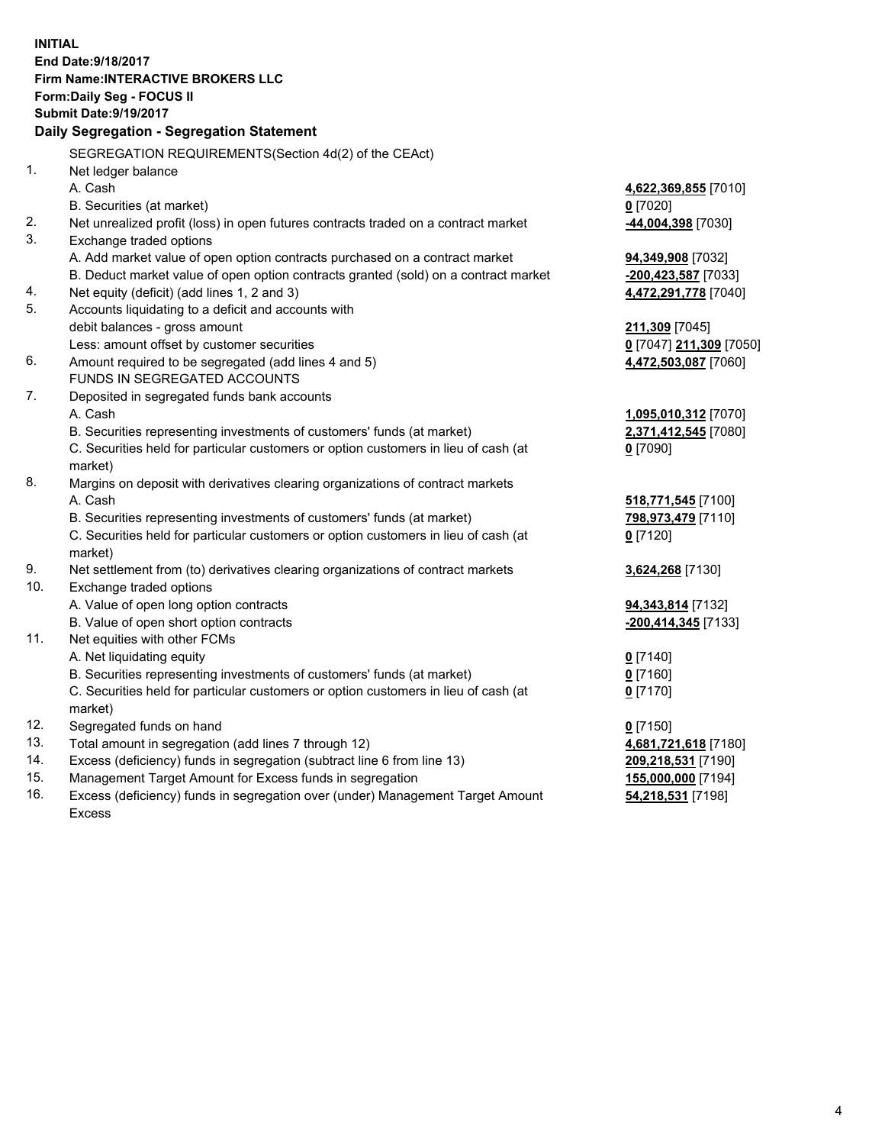**INITIAL End Date:9/18/2017 Firm Name:INTERACTIVE BROKERS LLC Form:Daily Seg - FOCUS II Submit Date:9/19/2017 Daily Segregation - Segregation Statement** SEGREGATION REQUIREMENTS(Section 4d(2) of the CEAct) 1. Net ledger balance A. Cash **4,622,369,855** [7010] B. Securities (at market) **0** [7020] 2. Net unrealized profit (loss) in open futures contracts traded on a contract market **-44,004,398** [7030] 3. Exchange traded options A. Add market value of open option contracts purchased on a contract market **94,349,908** [7032] B. Deduct market value of open option contracts granted (sold) on a contract market **-200,423,587** [7033] 4. Net equity (deficit) (add lines 1, 2 and 3) **4,472,291,778** [7040] 5. Accounts liquidating to a deficit and accounts with debit balances - gross amount **211,309** [7045] Less: amount offset by customer securities **0** [7047] **211,309** [7050] 6. Amount required to be segregated (add lines 4 and 5) **4,472,503,087** [7060] FUNDS IN SEGREGATED ACCOUNTS 7. Deposited in segregated funds bank accounts A. Cash **1,095,010,312** [7070] B. Securities representing investments of customers' funds (at market) **2,371,412,545** [7080] C. Securities held for particular customers or option customers in lieu of cash (at market) **0** [7090] 8. Margins on deposit with derivatives clearing organizations of contract markets A. Cash **518,771,545** [7100] B. Securities representing investments of customers' funds (at market) **798,973,479** [7110] C. Securities held for particular customers or option customers in lieu of cash (at market) **0** [7120] 9. Net settlement from (to) derivatives clearing organizations of contract markets **3,624,268** [7130] 10. Exchange traded options A. Value of open long option contracts **94,343,814** [7132] B. Value of open short option contracts **-200,414,345** [7133] 11. Net equities with other FCMs A. Net liquidating equity **0** [7140] B. Securities representing investments of customers' funds (at market) **0** [7160] C. Securities held for particular customers or option customers in lieu of cash (at market) **0** [7170] 12. Segregated funds on hand **0** [7150] 13. Total amount in segregation (add lines 7 through 12) **4,681,721,618** [7180] 14. Excess (deficiency) funds in segregation (subtract line 6 from line 13) **209,218,531** [7190] 15. Management Target Amount for Excess funds in segregation **155,000,000** [7194] **54,218,531** [7198]

16. Excess (deficiency) funds in segregation over (under) Management Target Amount Excess